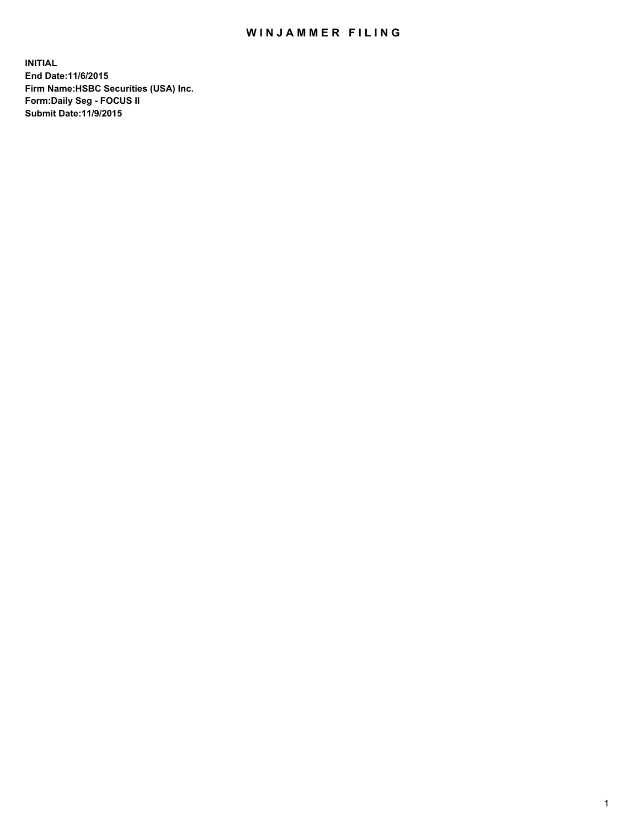## WIN JAMMER FILING

**INITIAL End Date:11/6/2015 Firm Name:HSBC Securities (USA) Inc. Form:Daily Seg - FOCUS II Submit Date:11/9/2015**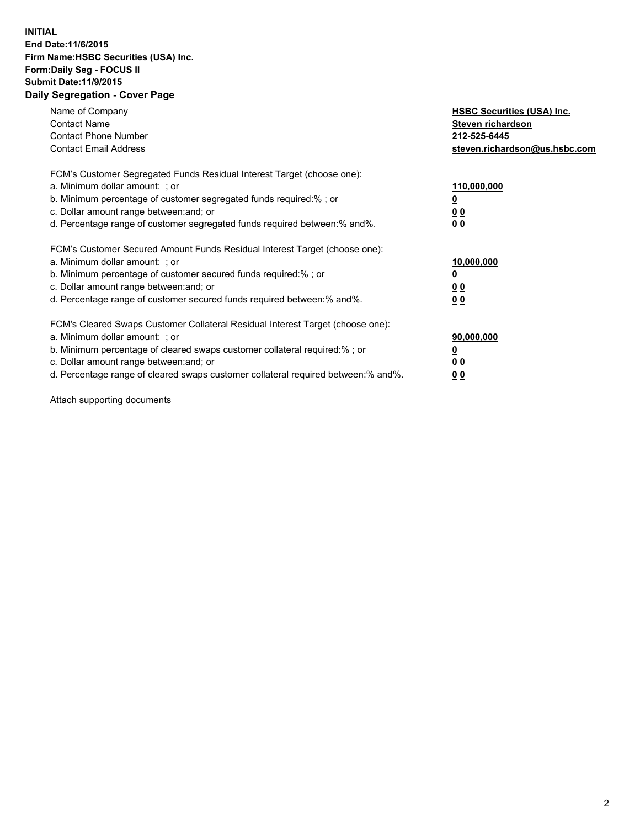## **INITIAL End Date:11/6/2015 Firm Name:HSBC Securities (USA) Inc. Form:Daily Seg - FOCUS II Submit Date:11/9/2015 Daily Segregation - Cover Page**

| Name of Company<br><b>Contact Name</b><br><b>Contact Phone Number</b><br><b>Contact Email Address</b>                                                                                                                                                                                                                         | <b>HSBC Securities (USA) Inc.</b><br>Steven richardson<br>212-525-6445<br>steven.richardson@us.hsbc.com |
|-------------------------------------------------------------------------------------------------------------------------------------------------------------------------------------------------------------------------------------------------------------------------------------------------------------------------------|---------------------------------------------------------------------------------------------------------|
| FCM's Customer Segregated Funds Residual Interest Target (choose one):<br>a. Minimum dollar amount: ; or<br>b. Minimum percentage of customer segregated funds required:%; or<br>c. Dollar amount range between: and; or<br>d. Percentage range of customer segregated funds required between: % and %.                       | 110,000,000<br><u>0</u><br>0 <sub>0</sub><br>0 <sub>0</sub>                                             |
| FCM's Customer Secured Amount Funds Residual Interest Target (choose one):<br>a. Minimum dollar amount: ; or<br>b. Minimum percentage of customer secured funds required:%; or<br>c. Dollar amount range between: and; or<br>d. Percentage range of customer secured funds required between: % and %.                         | 10,000,000<br>0 <sub>0</sub><br>0 <sub>0</sub>                                                          |
| FCM's Cleared Swaps Customer Collateral Residual Interest Target (choose one):<br>a. Minimum dollar amount: ; or<br>b. Minimum percentage of cleared swaps customer collateral required:%; or<br>c. Dollar amount range between: and; or<br>d. Percentage range of cleared swaps customer collateral required between:% and%. | 90,000,000<br><u>0</u><br>00<br><u>00</u>                                                               |

Attach supporting documents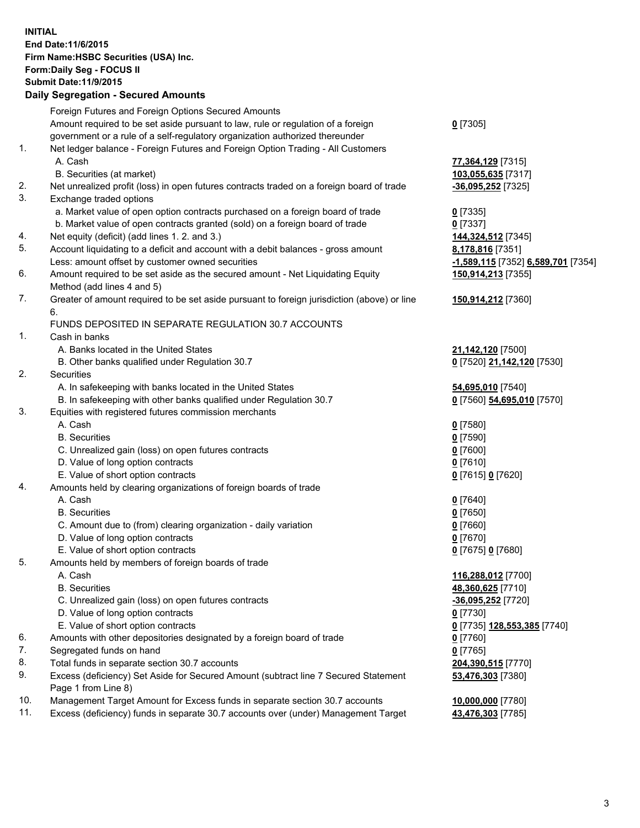**INITIAL End Date:11/6/2015 Firm Name:HSBC Securities (USA) Inc. Form:Daily Seg - FOCUS II Submit Date:11/9/2015**

## **Daily Segregation - Secured Amounts** Foreign Futures and Foreign Options Secured Amounts

|                                    | Foreign Futures and Foreign Options Secured Amounts                                                                                                              |                                                       |
|------------------------------------|------------------------------------------------------------------------------------------------------------------------------------------------------------------|-------------------------------------------------------|
|                                    | Amount required to be set aside pursuant to law, rule or regulation of a foreign                                                                                 | $0$ [7305]                                            |
|                                    | government or a rule of a self-regulatory organization authorized thereunder                                                                                     |                                                       |
| 1.                                 | Net ledger balance - Foreign Futures and Foreign Option Trading - All Customers                                                                                  |                                                       |
|                                    | A. Cash                                                                                                                                                          | 77,364,129 [7315]                                     |
|                                    | B. Securities (at market)                                                                                                                                        | 103,055,635 [7317]                                    |
| 2.                                 | Net unrealized profit (loss) in open futures contracts traded on a foreign board of trade                                                                        | $-36,095,252$ [7325]                                  |
| 3.                                 | Exchange traded options                                                                                                                                          |                                                       |
|                                    | a. Market value of open option contracts purchased on a foreign board of trade                                                                                   | $0$ [7335]                                            |
|                                    | b. Market value of open contracts granted (sold) on a foreign board of trade                                                                                     | $0$ [7337]                                            |
| 4.                                 | Net equity (deficit) (add lines 1.2. and 3.)                                                                                                                     | 144,324,512 [7345]                                    |
| 5.                                 | Account liquidating to a deficit and account with a debit balances - gross amount                                                                                | 8,178,816 [7351]                                      |
|                                    | Less: amount offset by customer owned securities                                                                                                                 | -1,589,115 [7352] 6,589,701 [7354]                    |
| 6.                                 |                                                                                                                                                                  |                                                       |
|                                    | Amount required to be set aside as the secured amount - Net Liquidating Equity                                                                                   | 150,914,213 [7355]                                    |
| 7.                                 | Method (add lines 4 and 5)                                                                                                                                       |                                                       |
|                                    | Greater of amount required to be set aside pursuant to foreign jurisdiction (above) or line<br>6.                                                                | 150,914,212 [7360]                                    |
|                                    | FUNDS DEPOSITED IN SEPARATE REGULATION 30.7 ACCOUNTS                                                                                                             |                                                       |
| 1.                                 | Cash in banks                                                                                                                                                    |                                                       |
|                                    | A. Banks located in the United States                                                                                                                            | 21,142,120 [7500]                                     |
|                                    | B. Other banks qualified under Regulation 30.7                                                                                                                   | 0 [7520] 21,142,120 [7530]                            |
| 2.                                 | <b>Securities</b>                                                                                                                                                |                                                       |
|                                    | A. In safekeeping with banks located in the United States                                                                                                        | 54,695,010 [7540]                                     |
|                                    | B. In safekeeping with other banks qualified under Regulation 30.7                                                                                               | 0 [7560] 54,695,010 [7570]                            |
| 3.                                 | Equities with registered futures commission merchants                                                                                                            |                                                       |
|                                    | A. Cash                                                                                                                                                          | $0$ [7580]                                            |
|                                    | <b>B.</b> Securities                                                                                                                                             | $0$ [7590]                                            |
|                                    | C. Unrealized gain (loss) on open futures contracts                                                                                                              | $0$ [7600]                                            |
|                                    | D. Value of long option contracts                                                                                                                                | $0$ [7610]                                            |
|                                    | E. Value of short option contracts                                                                                                                               | 0 [7615] 0 [7620]                                     |
| 4.                                 | Amounts held by clearing organizations of foreign boards of trade                                                                                                |                                                       |
|                                    | A. Cash                                                                                                                                                          | 0 [7640]                                              |
|                                    | <b>B.</b> Securities                                                                                                                                             | $0$ [7650]                                            |
|                                    | C. Amount due to (from) clearing organization - daily variation                                                                                                  | $0$ [7660]                                            |
|                                    | D. Value of long option contracts                                                                                                                                | $0$ [7670]                                            |
|                                    |                                                                                                                                                                  |                                                       |
| 5.                                 | E. Value of short option contracts                                                                                                                               | 0 [7675] 0 [7680]                                     |
|                                    | Amounts held by members of foreign boards of trade                                                                                                               |                                                       |
|                                    | A. Cash                                                                                                                                                          | 116,288,012 [7700]                                    |
|                                    | <b>B.</b> Securities                                                                                                                                             | 48,360,625 [7710]                                     |
|                                    | C. Unrealized gain (loss) on open futures contracts                                                                                                              | $-36,095,252$ [7720]                                  |
|                                    | D. Value of long option contracts                                                                                                                                | $0$ [7730]                                            |
|                                    | E. Value of short option contracts                                                                                                                               | 0 [7735] 128,553,385 [7740]                           |
|                                    | Amounts with other depositories designated by a foreign board of trade                                                                                           | $0$ [7760]                                            |
|                                    |                                                                                                                                                                  |                                                       |
|                                    |                                                                                                                                                                  |                                                       |
|                                    | Page 1 from Line 8)                                                                                                                                              |                                                       |
|                                    | Management Target Amount for Excess funds in separate section 30.7 accounts                                                                                      | 10,000,000 [7780]                                     |
|                                    | Excess (deficiency) funds in separate 30.7 accounts over (under) Management Target                                                                               | 43,476,303 [7785]                                     |
| 6.<br>7.<br>8.<br>9.<br>10.<br>11. | Segregated funds on hand<br>Total funds in separate section 30.7 accounts<br>Excess (deficiency) Set Aside for Secured Amount (subtract line 7 Secured Statement | $0$ [7765]<br>204,390,515 [7770]<br>53,476,303 [7380] |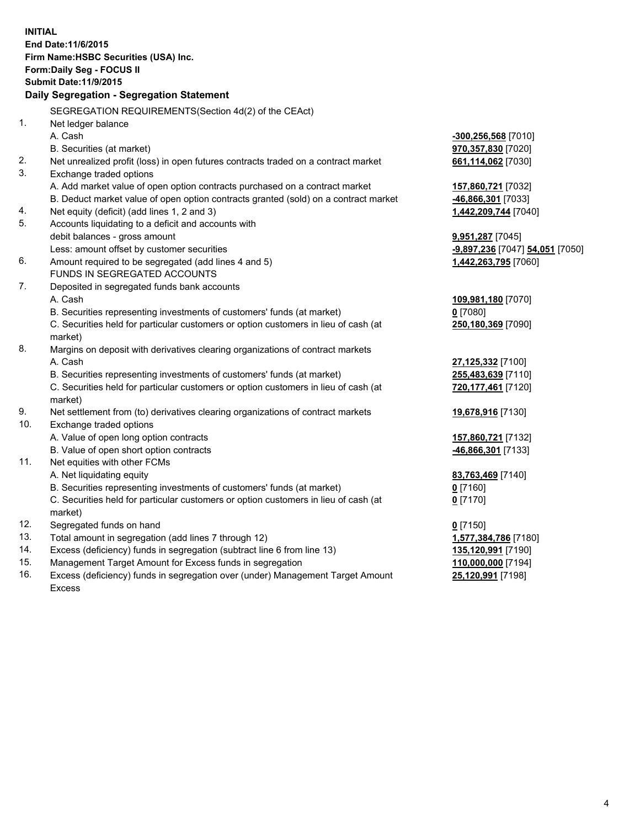| <b>INITIAL</b>             | End Date: 11/6/2015<br>Firm Name: HSBC Securities (USA) Inc.                                   |                                 |  |  |  |  |
|----------------------------|------------------------------------------------------------------------------------------------|---------------------------------|--|--|--|--|
| Form: Daily Seg - FOCUS II |                                                                                                |                                 |  |  |  |  |
|                            | <b>Submit Date:11/9/2015</b>                                                                   |                                 |  |  |  |  |
|                            | Daily Segregation - Segregation Statement                                                      |                                 |  |  |  |  |
|                            | SEGREGATION REQUIREMENTS(Section 4d(2) of the CEAct)                                           |                                 |  |  |  |  |
| 1.                         | Net ledger balance                                                                             |                                 |  |  |  |  |
|                            | A. Cash                                                                                        | $-300, 256, 568$ [7010]         |  |  |  |  |
|                            | B. Securities (at market)                                                                      | 970,357,830 [7020]              |  |  |  |  |
| 2.                         | Net unrealized profit (loss) in open futures contracts traded on a contract market             | 661,114,062 [7030]              |  |  |  |  |
| 3.                         | Exchange traded options                                                                        |                                 |  |  |  |  |
|                            | A. Add market value of open option contracts purchased on a contract market                    | 157,860,721 [7032]              |  |  |  |  |
|                            | B. Deduct market value of open option contracts granted (sold) on a contract market            | -46,866,301 [7033]              |  |  |  |  |
| 4.                         | Net equity (deficit) (add lines 1, 2 and 3)                                                    | 1,442,209,744 [7040]            |  |  |  |  |
| 5.                         | Accounts liquidating to a deficit and accounts with                                            |                                 |  |  |  |  |
|                            | debit balances - gross amount                                                                  | 9,951,287 [7045]                |  |  |  |  |
|                            | Less: amount offset by customer securities                                                     | -9,897,236 [7047] 54,051 [7050] |  |  |  |  |
| 6.                         | Amount required to be segregated (add lines 4 and 5)                                           | 1,442,263,795 [7060]            |  |  |  |  |
|                            | FUNDS IN SEGREGATED ACCOUNTS                                                                   |                                 |  |  |  |  |
| 7.                         | Deposited in segregated funds bank accounts                                                    |                                 |  |  |  |  |
|                            | A. Cash                                                                                        | 109,981,180 [7070]              |  |  |  |  |
|                            | B. Securities representing investments of customers' funds (at market)                         | $0$ [7080]                      |  |  |  |  |
|                            | C. Securities held for particular customers or option customers in lieu of cash (at            | 250,180,369 [7090]              |  |  |  |  |
|                            | market)                                                                                        |                                 |  |  |  |  |
| 8.                         | Margins on deposit with derivatives clearing organizations of contract markets                 |                                 |  |  |  |  |
|                            | A. Cash                                                                                        | 27,125,332 [7100]               |  |  |  |  |
|                            | B. Securities representing investments of customers' funds (at market)                         | 255,483,639 [7110]              |  |  |  |  |
|                            | C. Securities held for particular customers or option customers in lieu of cash (at<br>market) | 720,177,461 [7120]              |  |  |  |  |
| 9.                         | Net settlement from (to) derivatives clearing organizations of contract markets                | 19,678,916 [7130]               |  |  |  |  |
| 10.                        | Exchange traded options                                                                        |                                 |  |  |  |  |
|                            | A. Value of open long option contracts                                                         | 157,860,721 [7132]              |  |  |  |  |
|                            | B. Value of open short option contracts                                                        | 46,866,301 [7133]               |  |  |  |  |
| 11.                        | Net equities with other FCMs                                                                   |                                 |  |  |  |  |
|                            | A. Net liquidating equity                                                                      | 83,763,469 [7140]               |  |  |  |  |
|                            | B. Securities representing investments of customers' funds (at market)                         | <u>0</u> [7160]                 |  |  |  |  |
|                            | C. Securities held for particular customers or option customers in lieu of cash (at<br>market) | $0$ [7170]                      |  |  |  |  |
| 12.                        | Segregated funds on hand                                                                       | $0$ [7150]                      |  |  |  |  |
| 13.                        | Total amount in segregation (add lines 7 through 12)                                           | 1,577,384,786 [7180]            |  |  |  |  |
| 14.                        | Excess (deficiency) funds in segregation (subtract line 6 from line 13)                        | 135,120,991 [7190]              |  |  |  |  |
| 15.                        | Management Target Amount for Excess funds in segregation                                       | 110,000,000 [7194]              |  |  |  |  |
| 16.                        | Excess (deficiency) funds in segregation over (under) Management Target Amount                 | 25,120,991 [7198]               |  |  |  |  |

16. Excess (deficiency) funds in segregation over (under) Management Target Amount Excess